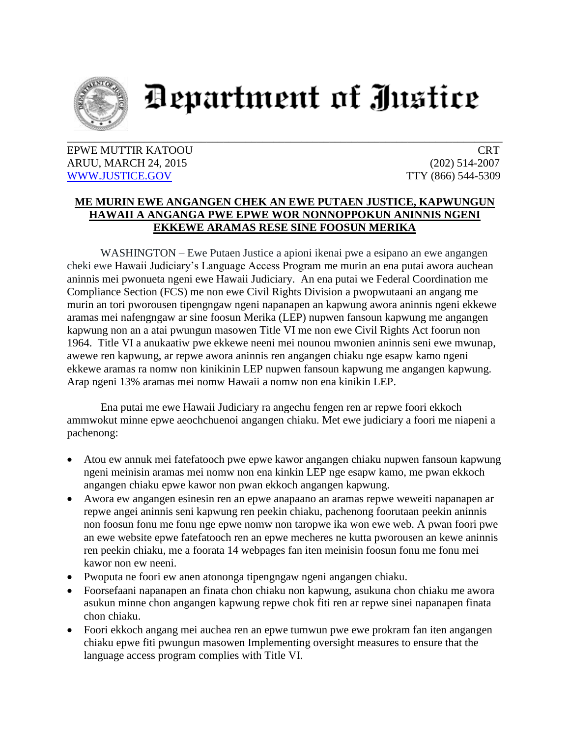

## Department of Justice

## EPWE MUTTIR KATOOU CRT ARUU, MARCH 24, 2015 (202) 514-2007 [WWW.JUSTICE.GOV](http://www.justice.gov/) TTY (866) 544-5309

## **ME MURIN EWE ANGANGEN CHEK AN EWE PUTAEN JUSTICE, KAPWUNGUN HAWAII A ANGANGA PWE EPWE WOR NONNOPPOKUN ANINNIS NGENI EKKEWE ARAMAS RESE SINE FOOSUN MERIKA**

WASHINGTON – Ewe Putaen Justice a apioni ikenai pwe a esipano an ewe angangen cheki ewe Hawaii Judiciary's Language Access Program me murin an ena putai awora auchean aninnis mei pwonueta ngeni ewe Hawaii Judiciary. An ena putai we Federal Coordination me Compliance Section (FCS) me non ewe Civil Rights Division a pwopwutaani an angang me murin an tori pworousen tipengngaw ngeni napanapen an kapwung awora aninnis ngeni ekkewe aramas mei nafengngaw ar sine foosun Merika (LEP) nupwen fansoun kapwung me angangen kapwung non an a atai pwungun masowen Title VI me non ewe Civil Rights Act foorun non 1964. Title VI a anukaatiw pwe ekkewe neeni mei nounou mwonien aninnis seni ewe mwunap, awewe ren kapwung, ar repwe awora aninnis ren angangen chiaku nge esapw kamo ngeni ekkewe aramas ra nomw non kinikinin LEP nupwen fansoun kapwung me angangen kapwung. Arap ngeni 13% aramas mei nomw Hawaii a nomw non ena kinikin LEP.

Ena putai me ewe Hawaii Judiciary ra angechu fengen ren ar repwe foori ekkoch ammwokut minne epwe aeochchuenoi angangen chiaku. Met ewe judiciary a foori me niapeni a pachenong:

- Atou ew annuk mei fatefatooch pwe epwe kawor angangen chiaku nupwen fansoun kapwung ngeni meinisin aramas mei nomw non ena kinkin LEP nge esapw kamo, me pwan ekkoch angangen chiaku epwe kawor non pwan ekkoch angangen kapwung.
- Awora ew angangen esinesin ren an epwe anapaano an aramas repwe weweiti napanapen ar repwe angei aninnis seni kapwung ren peekin chiaku, pachenong foorutaan peekin aninnis non foosun fonu me fonu nge epwe nomw non taropwe ika won ewe web. A pwan foori pwe an ewe website epwe fatefatooch ren an epwe mecheres ne kutta pworousen an kewe aninnis ren peekin chiaku, me a foorata 14 webpages fan iten meinisin foosun fonu me fonu mei kawor non ew neeni.
- Pwoputa ne foori ew anen atononga tipengngaw ngeni angangen chiaku.
- Foorsefaani napanapen an finata chon chiaku non kapwung, asukuna chon chiaku me awora asukun minne chon angangen kapwung repwe chok fiti ren ar repwe sinei napanapen finata chon chiaku.
- Foori ekkoch angang mei auchea ren an epwe tumwun pwe ewe prokram fan iten angangen chiaku epwe fiti pwungun masowen Implementing oversight measures to ensure that the language access program complies with Title VI.